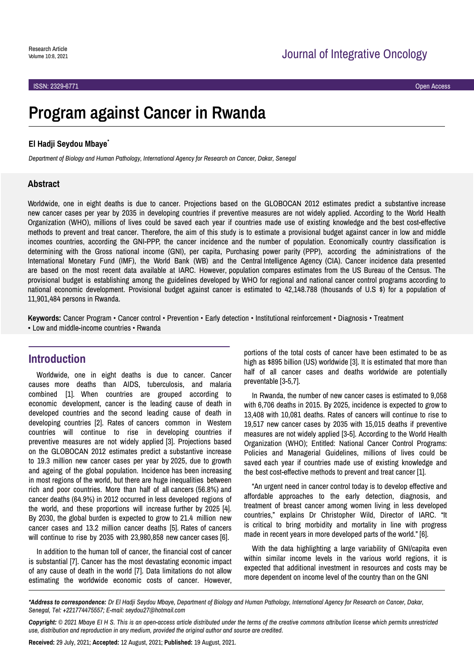# **Program against Cancer in Rwanda**

### **El Hadji Seydou Mbaye**\*

*Department of Biology and Human Pathology, International Agency for Research on Cancer, Dakar, Senegal*

### **Abstract**

Worldwide, one in eight deaths is due to cancer. Projections based on the GLOBOCAN 2012 estimates predict a substantive increase new cancer cases per year by 2035 in developing countries if preventive measures are not widely applied. According to the World Health Organization (WHO), millions of lives could be saved each year if countries made use of existing knowledge and the best cost-effective methods to prevent and treat cancer. Therefore, the aim of this study is to estimate a provisional budget against cancer in low and middle incomes countries, according the GNI-PPP, the cancer incidence and the number of population. Economically country classification is determining with the Gross national income (GNI), per capita, Purchasing power parity (PPP), according the administrations of the International Monetary Fund (IMF), the World Bank (WB) and the Central Intelligence Agency (CIA). Cancer incidence data presented are based on the most recent data available at IARC. However, population compares estimates from the US Bureau of the Census. The provisional budget is establishing among the guidelines developed by WHO for regional and national cancer control programs according to national economic development. Provisional budget against cancer is estimated to 42,148.788 (thousands of U.S \$) for a population of 11,901,484 persons in Rwanda.

**Keywords:** Cancer Program • Cancer control • Prevention • Early detection • Institutional reinforcement • Diagnosis • Treatment • Low and middle-income countries • Rwanda

### **Introduction**

Worldwide, one in eight deaths is due to cancer. Cancer causes more deaths than AIDS, tuberculosis, and malaria combined [1]. When countries are grouped according to economic development, cancer is the leading cause of death in developed countries and the second leading cause of death in developing countries [2]. Rates of cancers common in Western countries will continue to rise in developing countries if preventive measures are not widely applied [3]. Projections based on the GLOBOCAN 2012 estimates predict a substantive increase to 19.3 million new cancer cases per year by 2025, due to growth and ageing of the global population. Incidence has been increasing in most regions of the world, but there are huge inequalities between rich and poor countries. More than half of all cancers (56.8%) and cancer deaths (64.9%) in 2012 occurred in less developed regions of the world, and these proportions will increase further by 2025 [4]. By 2030, the global burden is expected to grow to 21.4 million new cancer cases and 13.2 million cancer deaths [5]. Rates of cancers will continue to rise by 2035 with 23,980,858 new cancer cases [6].

In addition to the human toll of cancer, the financial cost of cancer is substantial [7]. Cancer has the most devastating economic impact of any cause of death in the world [7]. Data limitations do not allow estimating the worldwide economic costs of cancer. However,

portions of the total costs of cancer have been estimated to be as high as \$895 billion (US) worldwide [3]. It is estimated that more than half of all cancer cases and deaths worldwide are potentially preventable [3-5,7].

In Rwanda, the number of new cancer cases is estimated to 9,058 with 6,706 deaths in 2015. By 2025, incidence is expected to grow to 13,408 with 10,081 deaths. Rates of cancers will continue to rise to 19,517 new cancer cases by 2035 with 15,015 deaths if preventive measures are not widely applied [3-5]. According to the World Health Organization (WHO); Entitled: National Cancer Control Programs: Policies and Managerial Guidelines, millions of lives could be saved each year if countries made use of existing knowledge and the best cost-effective methods to prevent and treat cancer [1].

"An urgent need in cancer control today is to develop effective and affordable approaches to the early detection, diagnosis, and treatment of breast cancer among women living in less developed countries," explains Dr Christopher Wild, Director of IARC. "It is critical to bring morbidity and mortality in line with progress made in recent years in more developed parts of the world." [6].

With the data highlighting a large variability of GNI/capita even within similar income levels in the various world regions, it is expected that additional investment in resources and costs may be more dependent on income level of the country than on the GNI

*Copyright: © 2021 Mbaye EI H S. This is an open-access article distributed under the terms of the creative commons attribution license which permits unrestricted use, distribution and reproduction in any medium, provided the original author and source are credited.*

**Received:** 29 July, 2021; **Accepted:** 12 August, 2021; **Published:** 19 August, 2021.

*<sup>\*</sup>Address to correspondence: Dr El Hadji Seydou Mbaye, Department of Biology and Human Pathology, International Agency for Research on Cancer, Dakar, Senegal, Tel: +221774475557; E-mail: seydou27@hotmail.com*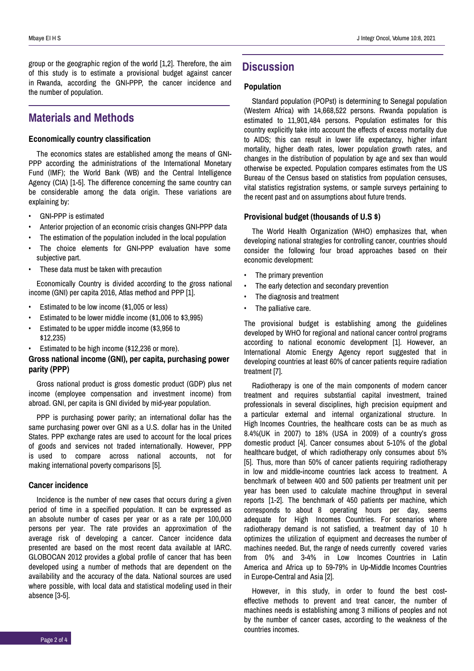group or the geographic region of the world [1,2]. Therefore, the aim of this study is to estimate a provisional budget against cancer in Rwanda, according the GNI-PPP, the cancer incidence and the number of population.

# **Materials and Methods**

### **Economically country classification**

The economics states are established among the means of GNI-PPP according the administrations of the International Monetary Fund (IMF); the World Bank (WB) and the Central Intelligence Agency (CIA) [1-5]. The difference concerning the same country can be considerable among the data origin. These variations are explaining by:

- GNI-PPP is estimated
- Anterior projection of an economic crisis changes GNI-PPP data
- The estimation of the population included in the local population
- The choice elements for GNI-PPP evaluation have some subjective part.
- These data must be taken with precaution

Economically Country is divided according to the gross national income (GNI) per capita 2016, Atlas method and PPP [1].

- Estimated to be low income (\$1,005 or less)
- Estimated to be lower middle income (\$1,006 to \$3,995)
- Estimated to be upper middle income (\$3,956 to \$12,235)
- Estimated to be high income (\$12,236 or more).

### **Gross national income (GNI), per capita, purchasing power parity (PPP)**

Gross national product is gross domestic product (GDP) plus net income (employee compensation and investment income) from abroad. GNI, per capita is GNI divided by mid-year population.

PPP is purchasing power parity; an international dollar has the same purchasing power over GNI as a U.S. dollar has in the United States. PPP exchange rates are used to account for the local prices of goods and services not traded internationally. However, PPP is used to compare across national accounts, not for making international poverty comparisons [5].

### **Cancer incidence**

Incidence is the number of new cases that occurs during a given period of time in a specified population. It can be expressed as an absolute number of cases per year or as a rate per 100,000 persons per year. The rate provides an approximation of the average risk of developing a cancer. Cancer incidence data presented are based on the most recent data available at IARC. GLOBOCAN 2012 provides a global profile of cancer that has been developed using a number of methods that are dependent on the availability and the accuracy of the data. National sources are used where possible, with local data and statistical modeling used in their absence [3-5].

# **Discussion**

### **Population**

Standard population (POPst) is determining to Senegal population (Western Africa) with 14,668,522 persons. Rwanda population is estimated to 11,901,484 persons. Population estimates for this country explicitly take into account the effects of excess mortality due to AIDS; this can result in lower life expectancy, higher infant mortality, higher death rates, lower population growth rates, and changes in the distribution of population by age and sex than would otherwise be expected. Population compares estimates from the US Bureau of the Census based on statistics from population censuses, vital statistics registration systems, or sample surveys pertaining to the recent past and on assumptions about future trends.

### **Provisional budget (thousands of U.S \$)**

The World Health Organization (WHO) emphasizes that, when developing national strategies for controlling cancer, countries should consider the following four broad approaches based on their economic development:

- The primary prevention
- The early detection and secondary prevention
- The diagnosis and treatment
- The palliative care.

The provisional budget is establishing among the guidelines developed by WHO for regional and national cancer control programs according to national economic development [1]. However, an International Atomic Energy Agency report suggested that in developing countries at least 60% of cancer patients require radiation treatment [7].

Radiotherapy is one of the main components of modern cancer treatment and requires substantial capital investment, trained professionals in several disciplines, high precision equipment and a particular external and internal organizational structure. In High Incomes Countries, the healthcare costs can be as much as 8.4%(UK in 2007) to 18% (USA in 2009) of a country's gross domestic product [4]. Cancer consumes about 5-10% of the global healthcare budget, of which radiotherapy only consumes about 5% [5]. Thus, more than 50% of cancer patients requiring radiotherapy in low and middle-income countries lack access to treatment. A benchmark of between 400 and 500 patients per treatment unit per year has been used to calculate machine throughput in several reports [1-2]. The benchmark of 450 patients per machine, which corresponds to about 8 operating hours per day, seems adequate for High Incomes Countries. For scenarios where radiotherapy demand is not satisfied, a treatment day of 10 h optimizes the utilization of equipment and decreases the number of machines needed. But, the range of needs currently covered varies from 0% and 3-4% in Low Incomes Countries in Latin America and Africa up to 59-79% in Up-Middle Incomes Countries in Europe-Central and Asia [2].

However, in this study, in order to found the best costeffective methods to prevent and treat cancer, the number of machines needs is establishing among 3 millions of peoples and not by the number of cancer cases, according to the weakness of the countries incomes.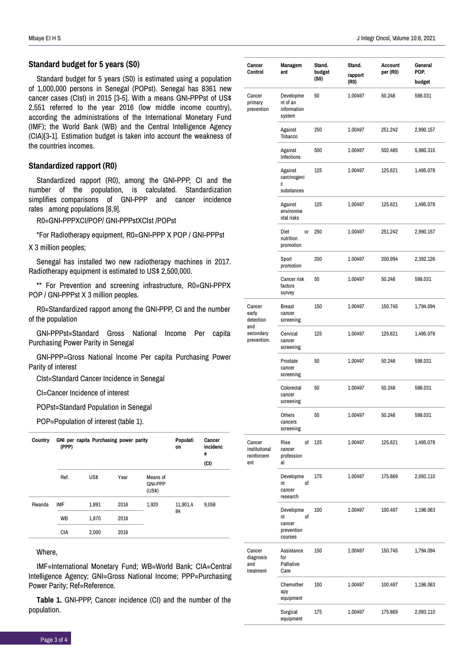### **Standard budget for 5 years (S0)**

Standard budget for 5 years (S0) is estimated using a population of 1,000,000 persons in Senegal (POPst). Senegal has 8361 new cancer cases (CIst) in 2015 [3-5]. With a means GNI-PPPst of US\$ 2,551 referred to the year 2016 (low middle income country), according the administrations of the International Monetary Fund (IMF); the World Bank (WB) and the Central Intelligence Agency (CIA)[3-1]. Estimation budget is taken into account the weakness of the countries incomes.

### **Standardized rapport (R0)**

Standardized rapport (R0), among the GNI-PPP, CI and the number of the population, is calculated. Standardization simplifies comparisons of GNI-PPP and cancer incidence rates among populations [8,9].

R0=GNI-PPPXCI/POP/ GNI-PPPstXCIst /POPst

\*For Radiotherapy equipment, R0=GNI-PPP X POP / GNI-PPPst

X 3 million peoples;

Senegal has installed two new radiotherapy machines in 2017. Radiotherapy equipment is estimated to US\$ 2,500,000.

\*\* For Prevention and screening infrastructure, R0=GNI-PPPX POP / GNI-PPPst X 3 million peoples.

R0=Standardized rapport among the GNI-PPP, CI and the number of the population

GNI-PPPst=Standard Gross National Income Per capita Purchasing Power Parity in Senegal

GNI-PPP=Gross National Income Per capita Purchasing Power Parity of interest

CIst=Standard Cancer Incidence in Senegal

CI=Cancer Incidence of interest

POPst=Standard Population in Senegal

POP=Population of interest (table 1).

| Country | (PPP)      | GNI per capita Purchasing power parity | Populati<br>on | Cancer<br>incidenc<br>е<br>(CI)      |                |       |
|---------|------------|----------------------------------------|----------------|--------------------------------------|----------------|-------|
|         | Ref.       | US\$                                   | Year           | Means of<br><b>GNI-PPP</b><br>(US\$) |                |       |
| Rwanda  | IMF        | 1,891                                  | 2016           | 1,920                                | 11,901,4<br>84 | 9,058 |
|         | WB         | 1.870                                  | 2016           |                                      |                |       |
|         | <b>CIA</b> | 2.000                                  | 2016           |                                      |                |       |

### Where,

IMF=International Monetary Fund; WB=World Bank; CIA=Central Intelligence Agency; GNI=Gross National Income; PPP=Purchasing Power Parity; Ref=Reference.

**Table 1.** GNI-PPP, Cancer incidence (CI) and the number of the population.

| Cancer<br>Control                            | Managem<br>ent                                           | Stand.<br>budget<br>(SO) | Stand.<br>rapport<br>(RO) | Account<br>per (R0) | General<br>POP.<br>budget |
|----------------------------------------------|----------------------------------------------------------|--------------------------|---------------------------|---------------------|---------------------------|
| Cancer<br>primary<br>prevention              | Developme<br>nt of an<br>information<br>system           | 50                       | 1.00497                   | 50.248              | 598.031                   |
|                                              | Against<br><b>Tobacco</b>                                | 250                      | 1.00497                   | 251.242             | 2,990.157                 |
|                                              | Against<br><b>Infections</b>                             | 500                      | 1.00497                   | 502.485             | 5,980.315                 |
|                                              | Against<br>carcinogeni<br>C                              | 125                      | 1.00497                   | 125.621             | 1,495.078                 |
|                                              | substances                                               |                          |                           |                     |                           |
|                                              | Against<br>environme<br>ntal risks                       | 125                      | 1.00497                   | 125.621             | 1,495.078                 |
|                                              | Diet<br><b>or</b><br>nutrition<br>promotion              | 250                      | 1.00497                   | 251.242             | 2,990.157                 |
|                                              | Sport<br>promotion                                       | 200                      | 1.00497                   | 200.994             | 2,392.126                 |
|                                              | Cancer risk<br>factors<br>survey                         | 50                       | 1.00497                   | 50.248              | 598.031                   |
| Cancer<br>early<br>detection                 | Breast<br>cancer<br>screening                            | 150                      | 1.00497                   | 150.745             | 1,794.094                 |
| and<br>secondary<br>prevention.              | Cervical<br>cancer<br>screening                          | 125                      | 1.00497                   | 125.621             | 1,495.078                 |
|                                              | Prostate<br>cancer<br>screening                          | 50                       | 1.00497                   | 50.248              | 598.031                   |
|                                              | Colorectal<br>cancer<br>screening                        | 50                       | 1.00497                   | 50.248              | 598.031                   |
|                                              | Others<br>cancers<br>screening                           | 50                       | 1.00497                   | 50.248              | 598.031                   |
| Cancer<br>institutional<br>reinforcem<br>ent | оf<br>Rise<br>cancer<br>profession<br>al                 | 125                      | 1.00497                   | 125.621             | 1,495.078                 |
|                                              | Developme<br>nt<br>οf<br>cancer<br>research              | 175                      | 1.00497                   | 175.869             | 2,093.110                 |
|                                              | Developme<br>nt<br>οf<br>cancer<br>prevention<br>courses | 100                      | 1.00497                   | 100.497             | 1,196.063                 |
| Cancer<br>diagnosis<br>and<br>treatment      | Assistance<br>for<br>Palliative<br>Care                  | 150                      | 1.00497                   | 150.745             | 1,794.094                 |
|                                              | Chemother<br>ару<br>equipment                            | 100                      | 1.00497                   | 100.497             | 1,196.063                 |
|                                              | Surgical<br>equipment                                    | 175                      | 1.00497                   | 175.869             | 2,093.110                 |